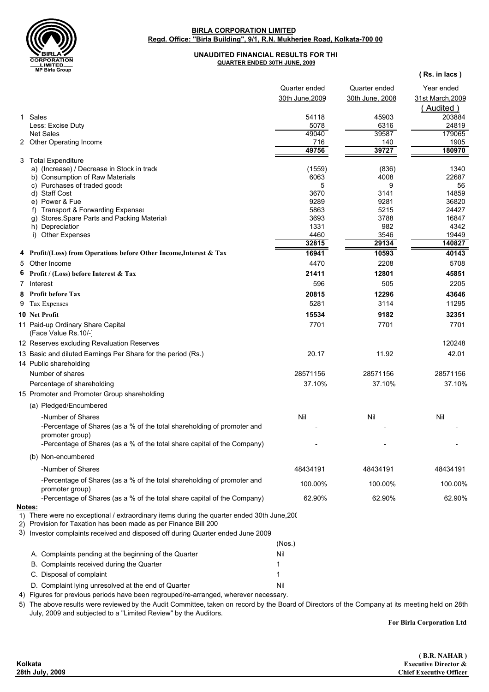

## **Regd. Office: "Birla Building", 9/1, R.N. Mukherjee Road, Kolkata-700 00 BIRLA CORPORATION LIMITED**

## **UNAUDITED FINANCIAL RESULTS FOR THE QUARTER ENDED 30TH JUNE, 2009**

|   | wir biria group                                                                                                                                               |                 |                 | (Rs. in lacs)    |
|---|---------------------------------------------------------------------------------------------------------------------------------------------------------------|-----------------|-----------------|------------------|
|   |                                                                                                                                                               | Quarter ended   | Quarter ended   | Year ended       |
|   |                                                                                                                                                               | 30th June, 2009 | 30th June, 2008 | 31st March, 2009 |
|   |                                                                                                                                                               |                 |                 | (Audited)        |
|   | 1 Sales                                                                                                                                                       | 54118           | 45903           | 203884           |
|   | Less: Excise Duty                                                                                                                                             | 5078            | 6316            | 24819            |
|   | <b>Net Sales</b>                                                                                                                                              | 49040           | 39587           | 179065           |
|   | 2 Other Operating Income                                                                                                                                      | 716             | 140             | 1905             |
|   |                                                                                                                                                               | 49756           | 39727           | 180970           |
|   | 3 Total Expenditure<br>a) (Increase) / Decrease in Stock in trade                                                                                             | (1559)          | (836)           | 1340             |
|   | b) Consumption of Raw Materials                                                                                                                               | 6063            | 4008            | 22687            |
|   | c) Purchases of traded goods                                                                                                                                  | 5               | 9               | 56               |
|   | d) Staff Cost                                                                                                                                                 | 3670            | 3141            | 14859            |
|   | e) Power & Fue                                                                                                                                                | 9289            | 9281            | 36820            |
|   | f) Transport & Forwarding Expenses<br>g) Stores, Spare Parts and Packing Material:                                                                            | 5863<br>3693    | 5215<br>3788    | 24427<br>16847   |
|   | h) Depreciatior                                                                                                                                               | 1331            | 982             | 4342             |
|   | i) Other Expenses                                                                                                                                             | 4460            | 3546            | 19449            |
|   |                                                                                                                                                               | 32815           | 29134           | 140827           |
|   | 4 Profit/(Loss) from Operations before Other Income, Interest & Tax                                                                                           | 16941           | 10593           | 40143            |
| 5 | Other Income                                                                                                                                                  | 4470            | 2208            | 5708             |
|   | Profit / (Loss) before Interest & Tax                                                                                                                         | 21411           | 12801           | 45851            |
| 7 | Interest                                                                                                                                                      | 596             | 505             | 2205             |
|   | 8 Profit before Tax                                                                                                                                           | 20815           | 12296           | 43646            |
|   | 9 Tax Expenses                                                                                                                                                | 5281            | 3114            | 11295            |
|   | <b>10 Net Profit</b>                                                                                                                                          | 15534           | 9182            | 32351            |
|   | 11 Paid-up Ordinary Share Capital<br>(Face Value Rs.10/-)                                                                                                     | 7701            | 7701            | 7701             |
|   | 12 Reserves excluding Revaluation Reserves                                                                                                                    |                 |                 | 120248           |
|   | 13 Basic and diluted Earnings Per Share for the period (Rs.)                                                                                                  | 20.17           | 11.92           | 42.01            |
|   | 14 Public shareholding                                                                                                                                        |                 |                 |                  |
|   | Number of shares                                                                                                                                              | 28571156        | 28571156        | 28571156         |
|   | Percentage of shareholding                                                                                                                                    | 37.10%          | 37.10%          | 37.10%           |
|   | 15 Promoter and Promoter Group shareholding                                                                                                                   |                 |                 |                  |
|   | (a) Pledged/Encumbered                                                                                                                                        |                 |                 |                  |
|   | -Number of Shares                                                                                                                                             | Nil             | Nil             | Nil              |
|   | -Percentage of Shares (as a % of the total shareholding of promoter and<br>promoter group)                                                                    |                 |                 |                  |
|   | -Percentage of Shares (as a % of the total share capital of the Company)                                                                                      |                 |                 |                  |
|   | (b) Non-encumbered                                                                                                                                            |                 |                 |                  |
|   | -Number of Shares                                                                                                                                             | 48434191        | 48434191        | 48434191         |
|   | -Percentage of Shares (as a % of the total shareholding of promoter and<br>promoter group)                                                                    | 100.00%         | 100.00%         | 100.00%          |
|   | -Percentage of Shares (as a % of the total share capital of the Company)<br>Notes:                                                                            | 62.90%          | 62.90%          | 62.90%           |
|   | 1) There were no exceptional / extraordinary items during the quarter ended 30th June, 200<br>2) Provision for Taxation has been made as per Finance Bill 200 |                 |                 |                  |
|   | 3) Investor complaints received and disposed off during Quarter ended June 2009                                                                               |                 |                 |                  |
|   |                                                                                                                                                               | (Nos.)          |                 |                  |
|   | A. Complaints pending at the beginning of the Quarter                                                                                                         | Nil             |                 |                  |
|   | B. Complaints received during the Quarter                                                                                                                     |                 |                 |                  |
|   | C. Disposal of complaint                                                                                                                                      |                 |                 |                  |
|   | D. Complaint lying unresolved at the end of Quarter                                                                                                           | Nil             |                 |                  |
|   | 4) Figures for previous periods have been regrouped/re-arranged, wherever necessary.                                                                          |                 |                 |                  |

5) The above results were reviewed by the Audit Committee, taken on record by the Board of Directors of the Company at its meeting held on 28th July, 2009 and subjected to a "Limited Review" by the Auditors.

**For Birla Corporation Ltd**